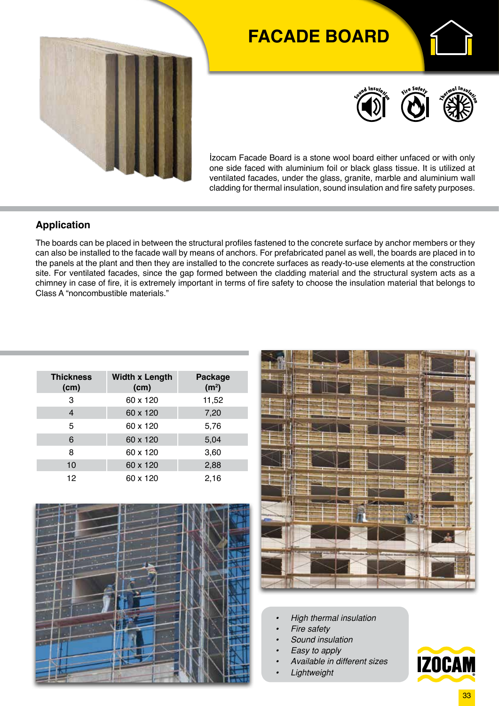

# **FACADE BOARD**



**E** 



İzocam Facade Board is a stone wool board either unfaced or with only one side faced with aluminium foil or black glass tissue. It is utilized at ventilated facades, under the glass, granite, marble and aluminium wall cladding for thermal insulation, sound insulation and fire safety purposes.

#### **Application**

The boards can be placed in between the structural profiles fastened to the concrete surface by anchor members or they can also be installed to the facade wall by means of anchors. For prefabricated panel as well, the boards are placed in to the panels at the plant and then they are installed to the concrete surfaces as ready-to-use elements at the construction site. For ventilated facades, since the gap formed between the cladding material and the structural system acts as a chimney in case of fire, it is extremely important in terms of fire safety to choose the insulation material that belongs to Class A "noncombustible materials."

| <b>Thickness</b><br>(cm) | <b>Width x Length</b><br>(cm) | <b>Package</b><br>(m <sup>2</sup> ) |  |  |  |
|--------------------------|-------------------------------|-------------------------------------|--|--|--|
| 3                        | 60 x 120                      | 11,52                               |  |  |  |
| 4                        | 60 x 120                      | 7,20                                |  |  |  |
| 5                        | 60 x 120                      | 5,76                                |  |  |  |
| 6                        | 60 x 120                      | 5,04                                |  |  |  |
| 8                        | 60 x 120                      | 3,60                                |  |  |  |
| 10                       | 60 x 120                      | 2,88                                |  |  |  |
| 12                       | 60 x 120                      | 2,16                                |  |  |  |





- *• High thermal insulation*
- *• Fire safety*
- *• Sound insulation*
- *• Easy to apply*
- *• Available in different sizes*
- *• Lightweight*